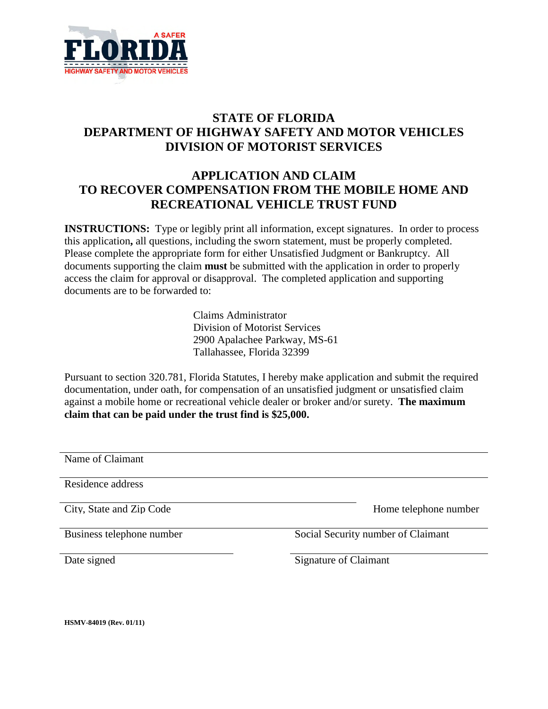

# **STATE OF FLORIDA DEPARTMENT OF HIGHWAY SAFETY AND MOTOR VEHICLES DIVISION OF MOTORIST SERVICES**

### **APPLICATION AND CLAIM TO RECOVER COMPENSATION FROM THE MOBILE HOME AND RECREATIONAL VEHICLE TRUST FUND**

**INSTRUCTIONS:** Type or legibly print all information, except signatures. In order to process this application**,** all questions, including the sworn statement, must be properly completed. Please complete the appropriate form for either Unsatisfied Judgment or Bankruptcy. All documents supporting the claim **must** be submitted with the application in order to properly access the claim for approval or disapproval. The completed application and supporting documents are to be forwarded to:

> Claims Administrator Division of Motorist Services 2900 Apalachee Parkway, MS-61 Tallahassee, Florida 32399

Pursuant to section 320.781, Florida Statutes, I hereby make application and submit the required documentation, under oath, for compensation of an unsatisfied judgment or unsatisfied claim against a mobile home or recreational vehicle dealer or broker and/or surety. **The maximum claim that can be paid under the trust find is \$25,000.**

Name of Claimant

Residence address

City, State and Zip Code Home telephone number

Business telephone number Social Security number of Claimant

Date signed Signature of Claimant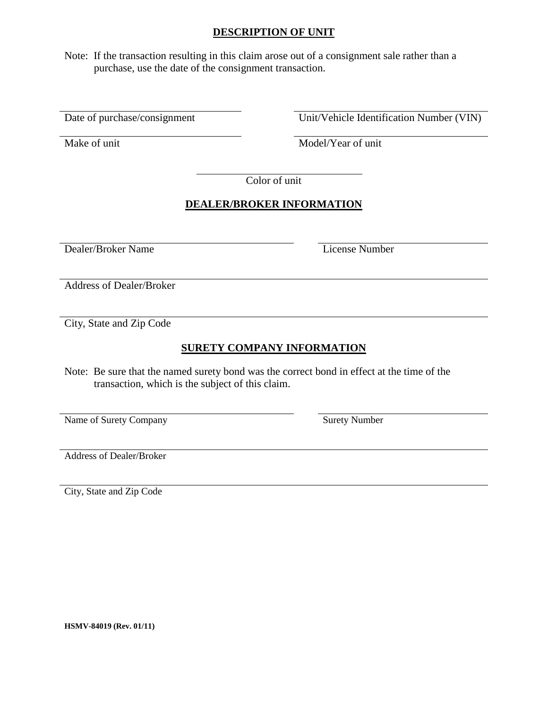#### **DESCRIPTION OF UNIT**

Note: If the transaction resulting in this claim arose out of a consignment sale rather than a purchase, use the date of the consignment transaction.

Date of purchase/consignment Unit/Vehicle Identification Number (VIN)

Make of unit Model/Year of unit

Color of unit

### **DEALER/BROKER INFORMATION**

Dealer/Broker Name License Number

Address of Dealer/Broker

City, State and Zip Code

#### **SURETY COMPANY INFORMATION**

Note: Be sure that the named surety bond was the correct bond in effect at the time of the transaction, which is the subject of this claim.

Name of Surety Company Surety Number

Address of Dealer/Broker

City, State and Zip Code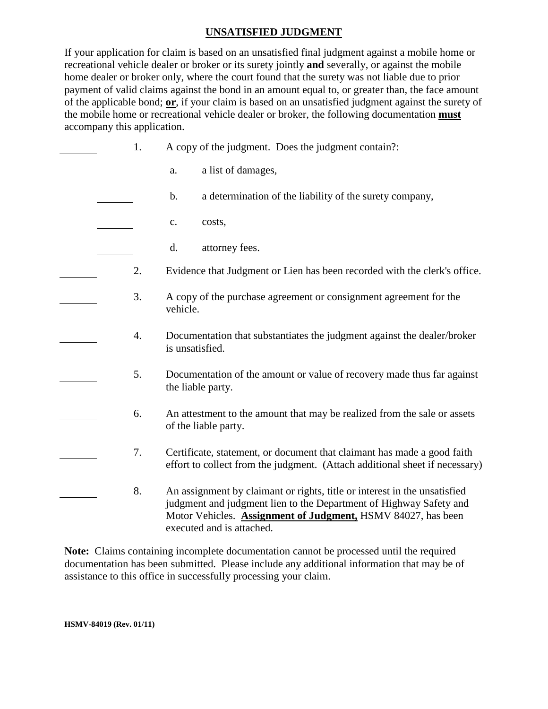### **UNSATISFIED JUDGMENT**

If your application for claim is based on an unsatisfied final judgment against a mobile home or recreational vehicle dealer or broker or its surety jointly **and** severally, or against the mobile home dealer or broker only, where the court found that the surety was not liable due to prior payment of valid claims against the bond in an amount equal to, or greater than, the face amount of the applicable bond; **or**, if your claim is based on an unsatisfied judgment against the surety of the mobile home or recreational vehicle dealer or broker, the following documentation **must** accompany this application.

| 1. | A copy of the judgment. Does the judgment contain?:                                                                                                                                                                                                  |
|----|------------------------------------------------------------------------------------------------------------------------------------------------------------------------------------------------------------------------------------------------------|
|    | a list of damages,<br>a.                                                                                                                                                                                                                             |
|    | b.<br>a determination of the liability of the surety company,                                                                                                                                                                                        |
|    | costs,<br>c.                                                                                                                                                                                                                                         |
|    | d.<br>attorney fees.                                                                                                                                                                                                                                 |
| 2. | Evidence that Judgment or Lien has been recorded with the clerk's office.                                                                                                                                                                            |
| 3. | A copy of the purchase agreement or consignment agreement for the<br>vehicle.                                                                                                                                                                        |
| 4. | Documentation that substantiates the judgment against the dealer/broker<br>is unsatisfied.                                                                                                                                                           |
| 5. | Documentation of the amount or value of recovery made thus far against<br>the liable party.                                                                                                                                                          |
| 6. | An attestment to the amount that may be realized from the sale or assets<br>of the liable party.                                                                                                                                                     |
| 7. | Certificate, statement, or document that claimant has made a good faith<br>effort to collect from the judgment. (Attach additional sheet if necessary)                                                                                               |
| 8. | An assignment by claimant or rights, title or interest in the unsatisfied<br>judgment and judgment lien to the Department of Highway Safety and<br>Motor Vehicles. <b>Assignment of Judgment</b> , HSMV 84027, has been<br>executed and is attached. |

**Note:** Claims containing incomplete documentation cannot be processed until the required documentation has been submitted. Please include any additional information that may be of assistance to this office in successfully processing your claim.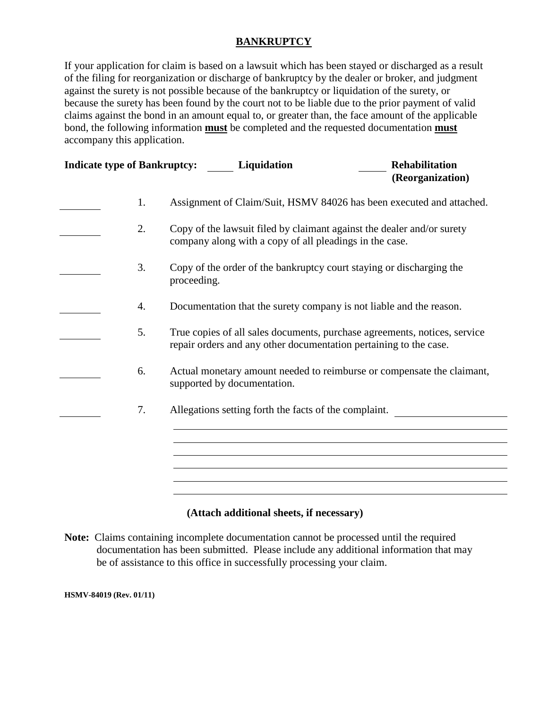#### **BANKRUPTCY**

If your application for claim is based on a lawsuit which has been stayed or discharged as a result of the filing for reorganization or discharge of bankruptcy by the dealer or broker, and judgment against the surety is not possible because of the bankruptcy or liquidation of the surety, or because the surety has been found by the court not to be liable due to the prior payment of valid claims against the bond in an amount equal to, or greater than, the face amount of the applicable bond, the following information **must** be completed and the requested documentation **must** accompany this application.

| <b>Indicate type of Bankruptcy:</b> |    | Rehabilitation<br>Liquidation<br>(Reorganization)                                                                                              |
|-------------------------------------|----|------------------------------------------------------------------------------------------------------------------------------------------------|
|                                     | 1. | Assignment of Claim/Suit, HSMV 84026 has been executed and attached.                                                                           |
|                                     | 2. | Copy of the lawsuit filed by claimant against the dealer and/or surety<br>company along with a copy of all pleadings in the case.              |
|                                     | 3. | Copy of the order of the bankruptcy court staying or discharging the<br>proceeding.                                                            |
|                                     | 4. | Documentation that the surety company is not liable and the reason.                                                                            |
|                                     | 5. | True copies of all sales documents, purchase agreements, notices, service<br>repair orders and any other documentation pertaining to the case. |
|                                     | 6. | Actual monetary amount needed to reimburse or compensate the claimant,<br>supported by documentation.                                          |
|                                     | 7. | Allegations setting forth the facts of the complaint.                                                                                          |
|                                     |    |                                                                                                                                                |
|                                     |    |                                                                                                                                                |
|                                     |    |                                                                                                                                                |
|                                     |    |                                                                                                                                                |
|                                     |    |                                                                                                                                                |
|                                     |    | (Attach additional sheets, if necessary)                                                                                                       |

## **Note:** Claims containing incomplete documentation cannot be processed until the required documentation has been submitted. Please include any additional information that may be of assistance to this office in successfully processing your claim.

 $\overline{\phantom{a}}$